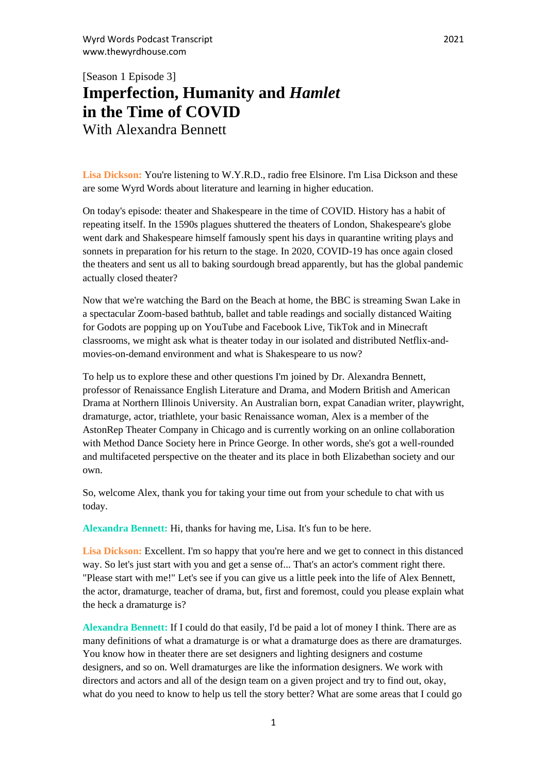# [Season 1 Episode 3] **Imperfection, Humanity and** *Hamlet*  **in the Time of COVID** With Alexandra Bennett

Lisa Dickson: You're listening to W.Y.R.D., radio free Elsinore. I'm Lisa Dickson and these are some Wyrd Words about literature and learning in higher education.

On today's episode: theater and Shakespeare in the time of COVID. History has a habit of repeating itself. In the 1590s plagues shuttered the theaters of London, Shakespeare's globe went dark and Shakespeare himself famously spent his days in quarantine writing plays and sonnets in preparation for his return to the stage. In 2020, COVID-19 has once again closed the theaters and sent us all to baking sourdough bread apparently, but has the global pandemic actually closed theater?

Now that we're watching the Bard on the Beach at home, the BBC is streaming Swan Lake in a spectacular Zoom-based bathtub, ballet and table readings and socially distanced Waiting for Godots are popping up on YouTube and Facebook Live, TikTok and in Minecraft classrooms, we might ask what is theater today in our isolated and distributed Netflix-andmovies-on-demand environment and what is Shakespeare to us now?

To help us to explore these and other questions I'm joined by Dr. Alexandra Bennett, professor of Renaissance English Literature and Drama, and Modern British and American Drama at Northern Illinois University. An Australian born, expat Canadian writer, playwright, dramaturge, actor, triathlete, your basic Renaissance woman, Alex is a member of the AstonRep Theater Company in Chicago and is currently working on an online collaboration with Method Dance Society here in Prince George. In other words, she's got a well-rounded and multifaceted perspective on the theater and its place in both Elizabethan society and our own.

So, welcome Alex, thank you for taking your time out from your schedule to chat with us today.

**Alexandra Bennett:** Hi, thanks for having me, Lisa. It's fun to be here.

Lisa Dickson: Excellent. I'm so happy that you're here and we get to connect in this distanced way. So let's just start with you and get a sense of... That's an actor's comment right there. "Please start with me!" Let's see if you can give us a little peek into the life of Alex Bennett, the actor, dramaturge, teacher of drama, but, first and foremost, could you please explain what the heck a dramaturge is?

**Alexandra Bennett:** If I could do that easily, I'd be paid a lot of money I think. There are as many definitions of what a dramaturge is or what a dramaturge does as there are dramaturges. You know how in theater there are set designers and lighting designers and costume designers, and so on. Well dramaturges are like the information designers. We work with directors and actors and all of the design team on a given project and try to find out, okay, what do you need to know to help us tell the story better? What are some areas that I could go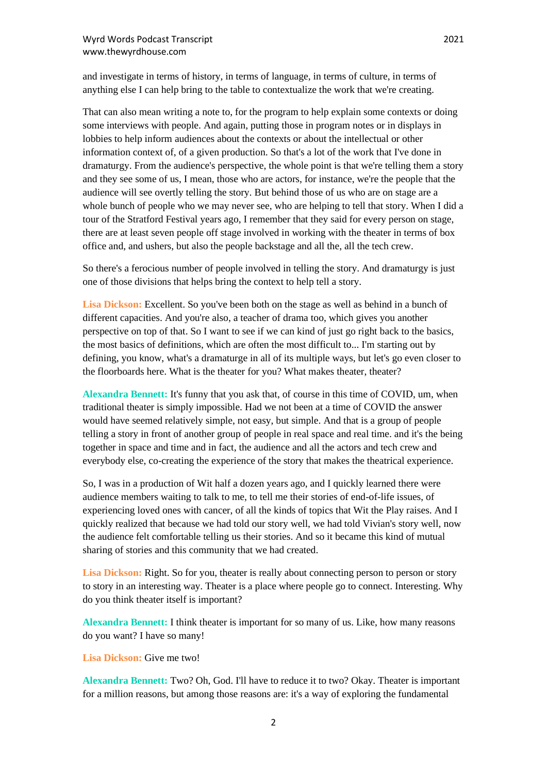and investigate in terms of history, in terms of language, in terms of culture, in terms of anything else I can help bring to the table to contextualize the work that we're creating.

That can also mean writing a note to, for the program to help explain some contexts or doing some interviews with people. And again, putting those in program notes or in displays in lobbies to help inform audiences about the contexts or about the intellectual or other information context of, of a given production. So that's a lot of the work that I've done in dramaturgy. From the audience's perspective, the whole point is that we're telling them a story and they see some of us, I mean, those who are actors, for instance, we're the people that the audience will see overtly telling the story. But behind those of us who are on stage are a whole bunch of people who we may never see, who are helping to tell that story. When I did a tour of the Stratford Festival years ago, I remember that they said for every person on stage, there are at least seven people off stage involved in working with the theater in terms of box office and, and ushers, but also the people backstage and all the, all the tech crew.

So there's a ferocious number of people involved in telling the story. And dramaturgy is just one of those divisions that helps bring the context to help tell a story.

Lisa Dickson: Excellent. So you've been both on the stage as well as behind in a bunch of different capacities. And you're also, a teacher of drama too, which gives you another perspective on top of that. So I want to see if we can kind of just go right back to the basics, the most basics of definitions, which are often the most difficult to... I'm starting out by defining, you know, what's a dramaturge in all of its multiple ways, but let's go even closer to the floorboards here. What is the theater for you? What makes theater, theater?

**Alexandra Bennett:** It's funny that you ask that, of course in this time of COVID, um, when traditional theater is simply impossible. Had we not been at a time of COVID the answer would have seemed relatively simple, not easy, but simple. And that is a group of people telling a story in front of another group of people in real space and real time. and it's the being together in space and time and in fact, the audience and all the actors and tech crew and everybody else, co-creating the experience of the story that makes the theatrical experience.

So, I was in a production of Wit half a dozen years ago, and I quickly learned there were audience members waiting to talk to me, to tell me their stories of end-of-life issues, of experiencing loved ones with cancer, of all the kinds of topics that Wit the Play raises. And I quickly realized that because we had told our story well, we had told Vivian's story well, now the audience felt comfortable telling us their stories. And so it became this kind of mutual sharing of stories and this community that we had created.

**Lisa Dickson:** Right. So for you, theater is really about connecting person to person or story to story in an interesting way. Theater is a place where people go to connect. Interesting. Why do you think theater itself is important?

**Alexandra Bennett:** I think theater is important for so many of us. Like, how many reasons do you want? I have so many!

# Lisa Dickson: Give me two!

**Alexandra Bennett:** Two? Oh, God. I'll have to reduce it to two? Okay. Theater is important for a million reasons, but among those reasons are: it's a way of exploring the fundamental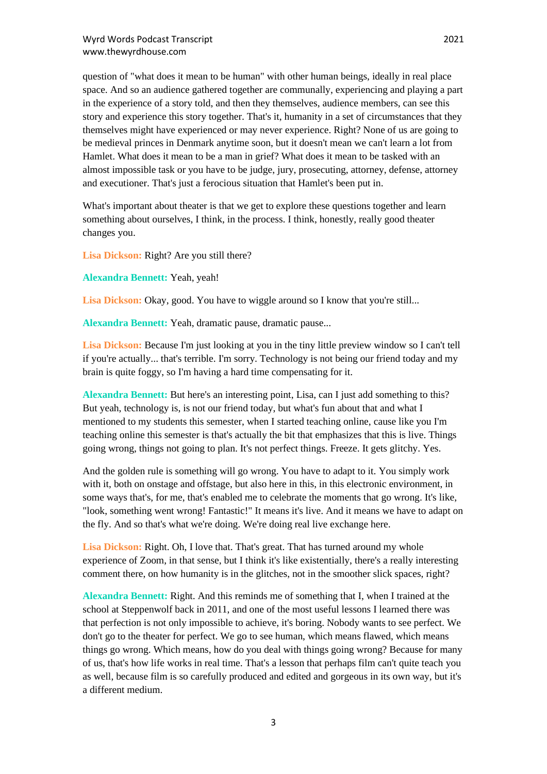question of "what does it mean to be human" with other human beings, ideally in real place space. And so an audience gathered together are communally, experiencing and playing a part in the experience of a story told, and then they themselves, audience members, can see this story and experience this story together. That's it, humanity in a set of circumstances that they themselves might have experienced or may never experience. Right? None of us are going to be medieval princes in Denmark anytime soon, but it doesn't mean we can't learn a lot from Hamlet. What does it mean to be a man in grief? What does it mean to be tasked with an almost impossible task or you have to be judge, jury, prosecuting, attorney, defense, attorney and executioner. That's just a ferocious situation that Hamlet's been put in.

What's important about theater is that we get to explore these questions together and learn something about ourselves, I think, in the process. I think, honestly, really good theater changes you.

Lisa Dickson: Right? Are you still there?

**Alexandra Bennett:** Yeah, yeah!

Lisa Dickson: Okay, good. You have to wiggle around so I know that you're still...

**Alexandra Bennett:** Yeah, dramatic pause, dramatic pause...

**Lisa Dickson:** Because I'm just looking at you in the tiny little preview window so I can't tell if you're actually... that's terrible. I'm sorry. Technology is not being our friend today and my brain is quite foggy, so I'm having a hard time compensating for it.

**Alexandra Bennett:** But here's an interesting point, Lisa, can I just add something to this? But yeah, technology is, is not our friend today, but what's fun about that and what I mentioned to my students this semester, when I started teaching online, cause like you I'm teaching online this semester is that's actually the bit that emphasizes that this is live. Things going wrong, things not going to plan. It's not perfect things. Freeze. It gets glitchy. Yes.

And the golden rule is something will go wrong. You have to adapt to it. You simply work with it, both on onstage and offstage, but also here in this, in this electronic environment, in some ways that's, for me, that's enabled me to celebrate the moments that go wrong. It's like, "look, something went wrong! Fantastic!" It means it's live. And it means we have to adapt on the fly. And so that's what we're doing. We're doing real live exchange here.

Lisa Dickson: Right. Oh, I love that. That's great. That has turned around my whole experience of Zoom, in that sense, but I think it's like existentially, there's a really interesting comment there, on how humanity is in the glitches, not in the smoother slick spaces, right?

**Alexandra Bennett:** Right. And this reminds me of something that I, when I trained at the school at Steppenwolf back in 2011, and one of the most useful lessons I learned there was that perfection is not only impossible to achieve, it's boring. Nobody wants to see perfect. We don't go to the theater for perfect. We go to see human, which means flawed, which means things go wrong. Which means, how do you deal with things going wrong? Because for many of us, that's how life works in real time. That's a lesson that perhaps film can't quite teach you as well, because film is so carefully produced and edited and gorgeous in its own way, but it's a different medium.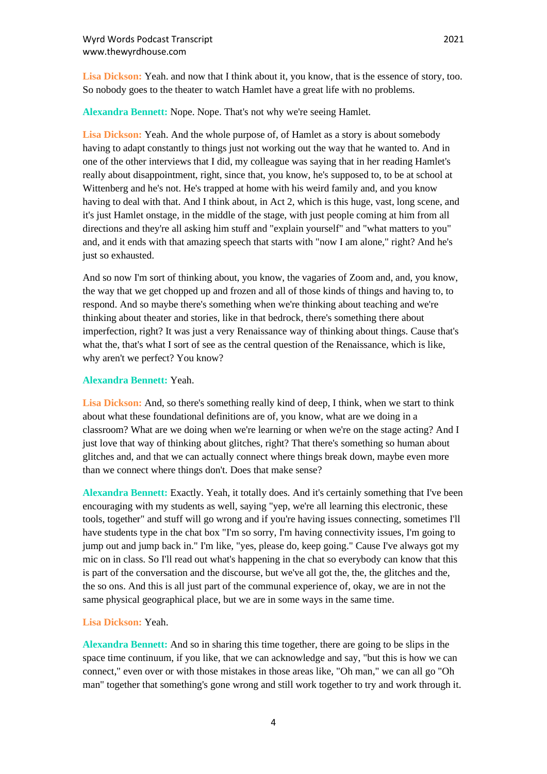**Lisa Dickson:** Yeah. and now that I think about it, you know, that is the essence of story, too. So nobody goes to the theater to watch Hamlet have a great life with no problems.

**Alexandra Bennett:** Nope. Nope. That's not why we're seeing Hamlet.

**Lisa Dickson:** Yeah. And the whole purpose of, of Hamlet as a story is about somebody having to adapt constantly to things just not working out the way that he wanted to. And in one of the other interviews that I did, my colleague was saying that in her reading Hamlet's really about disappointment, right, since that, you know, he's supposed to, to be at school at Wittenberg and he's not. He's trapped at home with his weird family and, and you know having to deal with that. And I think about, in Act 2, which is this huge, vast, long scene, and it's just Hamlet onstage, in the middle of the stage, with just people coming at him from all directions and they're all asking him stuff and "explain yourself" and "what matters to you" and, and it ends with that amazing speech that starts with "now I am alone," right? And he's just so exhausted.

And so now I'm sort of thinking about, you know, the vagaries of Zoom and, and, you know, the way that we get chopped up and frozen and all of those kinds of things and having to, to respond. And so maybe there's something when we're thinking about teaching and we're thinking about theater and stories, like in that bedrock, there's something there about imperfection, right? It was just a very Renaissance way of thinking about things. Cause that's what the, that's what I sort of see as the central question of the Renaissance, which is like, why aren't we perfect? You know?

# **Alexandra Bennett:** Yeah.

**Lisa Dickson:** And, so there's something really kind of deep, I think, when we start to think about what these foundational definitions are of, you know, what are we doing in a classroom? What are we doing when we're learning or when we're on the stage acting? And I just love that way of thinking about glitches, right? That there's something so human about glitches and, and that we can actually connect where things break down, maybe even more than we connect where things don't. Does that make sense?

**Alexandra Bennett:** Exactly. Yeah, it totally does. And it's certainly something that I've been encouraging with my students as well, saying "yep, we're all learning this electronic, these tools, together" and stuff will go wrong and if you're having issues connecting, sometimes I'll have students type in the chat box "I'm so sorry, I'm having connectivity issues, I'm going to jump out and jump back in." I'm like, "yes, please do, keep going." Cause I've always got my mic on in class. So I'll read out what's happening in the chat so everybody can know that this is part of the conversation and the discourse, but we've all got the, the, the glitches and the, the so ons. And this is all just part of the communal experience of, okay, we are in not the same physical geographical place, but we are in some ways in the same time.

#### **Lisa Dickson:** Yeah.

**Alexandra Bennett:** And so in sharing this time together, there are going to be slips in the space time continuum, if you like, that we can acknowledge and say, "but this is how we can connect," even over or with those mistakes in those areas like, "Oh man," we can all go "Oh man" together that something's gone wrong and still work together to try and work through it.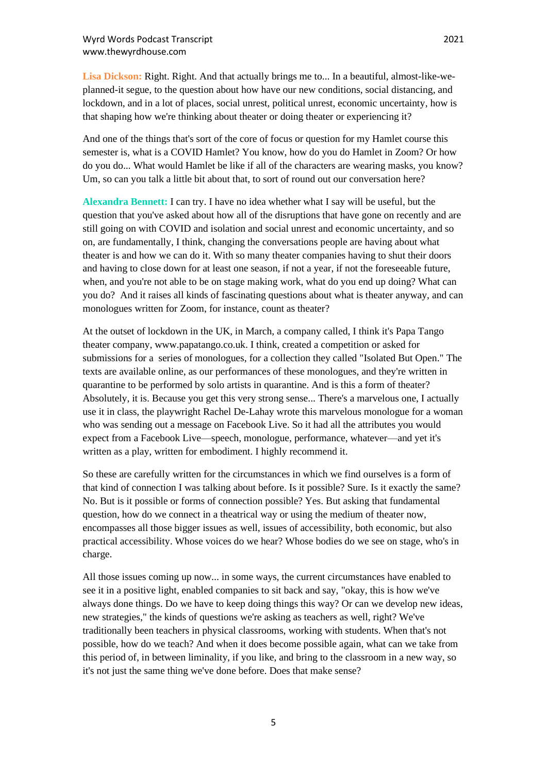**Lisa Dickson:** Right. Right. And that actually brings me to... In a beautiful, almost-like-weplanned-it segue, to the question about how have our new conditions, social distancing, and lockdown, and in a lot of places, social unrest, political unrest, economic uncertainty, how is that shaping how we're thinking about theater or doing theater or experiencing it?

And one of the things that's sort of the core of focus or question for my Hamlet course this semester is, what is a COVID Hamlet? You know, how do you do Hamlet in Zoom? Or how do you do... What would Hamlet be like if all of the characters are wearing masks, you know? Um, so can you talk a little bit about that, to sort of round out our conversation here?

**Alexandra Bennett:** I can try. I have no idea whether what I say will be useful, but the question that you've asked about how all of the disruptions that have gone on recently and are still going on with COVID and isolation and social unrest and economic uncertainty, and so on, are fundamentally, I think, changing the conversations people are having about what theater is and how we can do it. With so many theater companies having to shut their doors and having to close down for at least one season, if not a year, if not the foreseeable future, when, and you're not able to be on stage making work, what do you end up doing? What can you do? And it raises all kinds of fascinating questions about what is theater anyway, and can monologues written for Zoom, for instance, count as theater?

At the outset of lockdown in the UK, in March, a company called, I think it's Papa Tango theater company, www.papatango.co.uk. I think, created a competition or asked for submissions for a series of monologues, for a collection they called "Isolated But Open." The texts are available online, as our performances of these monologues, and they're written in quarantine to be performed by solo artists in quarantine. And is this a form of theater? Absolutely, it is. Because you get this very strong sense... There's a marvelous one, I actually use it in class, the playwright Rachel De-Lahay wrote this marvelous monologue for a woman who was sending out a message on Facebook Live. So it had all the attributes you would expect from a Facebook Live—speech, monologue, performance, whatever—and yet it's written as a play, written for embodiment. I highly recommend it.

So these are carefully written for the circumstances in which we find ourselves is a form of that kind of connection I was talking about before. Is it possible? Sure. Is it exactly the same? No. But is it possible or forms of connection possible? Yes. But asking that fundamental question, how do we connect in a theatrical way or using the medium of theater now, encompasses all those bigger issues as well, issues of accessibility, both economic, but also practical accessibility. Whose voices do we hear? Whose bodies do we see on stage, who's in charge.

All those issues coming up now... in some ways, the current circumstances have enabled to see it in a positive light, enabled companies to sit back and say, "okay, this is how we've always done things. Do we have to keep doing things this way? Or can we develop new ideas, new strategies," the kinds of questions we're asking as teachers as well, right? We've traditionally been teachers in physical classrooms, working with students. When that's not possible, how do we teach? And when it does become possible again, what can we take from this period of, in between liminality, if you like, and bring to the classroom in a new way, so it's not just the same thing we've done before. Does that make sense?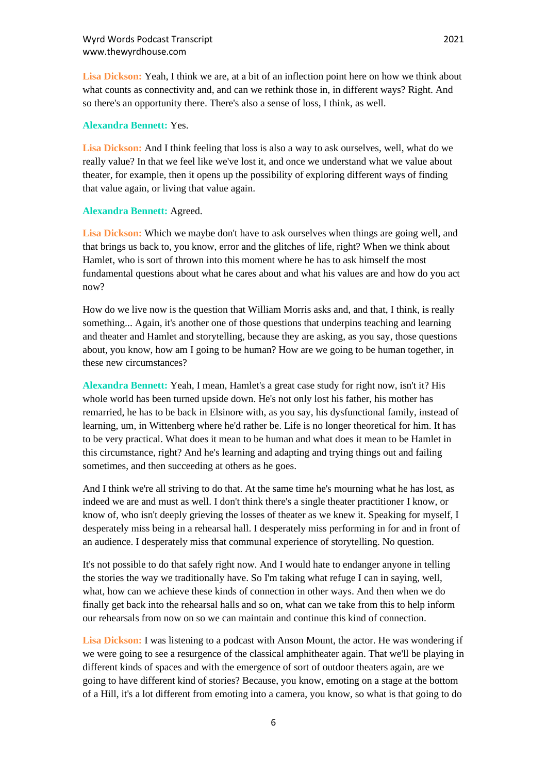**Lisa Dickson:** Yeah, I think we are, at a bit of an inflection point here on how we think about what counts as connectivity and, and can we rethink those in, in different ways? Right. And so there's an opportunity there. There's also a sense of loss, I think, as well.

## **Alexandra Bennett:** Yes.

**Lisa Dickson:** And I think feeling that loss is also a way to ask ourselves, well, what do we really value? In that we feel like we've lost it, and once we understand what we value about theater, for example, then it opens up the possibility of exploring different ways of finding that value again, or living that value again.

# **Alexandra Bennett:** Agreed.

**Lisa Dickson:** Which we maybe don't have to ask ourselves when things are going well, and that brings us back to, you know, error and the glitches of life, right? When we think about Hamlet, who is sort of thrown into this moment where he has to ask himself the most fundamental questions about what he cares about and what his values are and how do you act now?

How do we live now is the question that William Morris asks and, and that, I think, is really something... Again, it's another one of those questions that underpins teaching and learning and theater and Hamlet and storytelling, because they are asking, as you say, those questions about, you know, how am I going to be human? How are we going to be human together, in these new circumstances?

**Alexandra Bennett:** Yeah, I mean, Hamlet's a great case study for right now, isn't it? His whole world has been turned upside down. He's not only lost his father, his mother has remarried, he has to be back in Elsinore with, as you say, his dysfunctional family, instead of learning, um, in Wittenberg where he'd rather be. Life is no longer theoretical for him. It has to be very practical. What does it mean to be human and what does it mean to be Hamlet in this circumstance, right? And he's learning and adapting and trying things out and failing sometimes, and then succeeding at others as he goes.

And I think we're all striving to do that. At the same time he's mourning what he has lost, as indeed we are and must as well. I don't think there's a single theater practitioner I know, or know of, who isn't deeply grieving the losses of theater as we knew it. Speaking for myself, I desperately miss being in a rehearsal hall. I desperately miss performing in for and in front of an audience. I desperately miss that communal experience of storytelling. No question.

It's not possible to do that safely right now. And I would hate to endanger anyone in telling the stories the way we traditionally have. So I'm taking what refuge I can in saying, well, what, how can we achieve these kinds of connection in other ways. And then when we do finally get back into the rehearsal halls and so on, what can we take from this to help inform our rehearsals from now on so we can maintain and continue this kind of connection.

**Lisa Dickson:** I was listening to a podcast with Anson Mount, the actor. He was wondering if we were going to see a resurgence of the classical amphitheater again. That we'll be playing in different kinds of spaces and with the emergence of sort of outdoor theaters again, are we going to have different kind of stories? Because, you know, emoting on a stage at the bottom of a Hill, it's a lot different from emoting into a camera, you know, so what is that going to do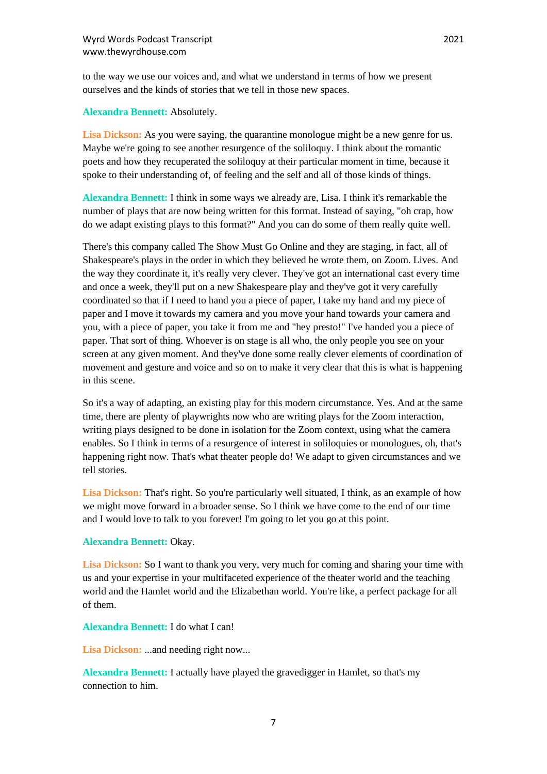to the way we use our voices and, and what we understand in terms of how we present ourselves and the kinds of stories that we tell in those new spaces.

### **Alexandra Bennett:** Absolutely.

Lisa Dickson: As you were saying, the quarantine monologue might be a new genre for us. Maybe we're going to see another resurgence of the soliloquy. I think about the romantic poets and how they recuperated the soliloquy at their particular moment in time, because it spoke to their understanding of, of feeling and the self and all of those kinds of things.

**Alexandra Bennett:** I think in some ways we already are, Lisa. I think it's remarkable the number of plays that are now being written for this format. Instead of saying, "oh crap, how do we adapt existing plays to this format?" And you can do some of them really quite well.

There's this company called The Show Must Go Online and they are staging, in fact, all of Shakespeare's plays in the order in which they believed he wrote them, on Zoom. Lives. And the way they coordinate it, it's really very clever. They've got an international cast every time and once a week, they'll put on a new Shakespeare play and they've got it very carefully coordinated so that if I need to hand you a piece of paper, I take my hand and my piece of paper and I move it towards my camera and you move your hand towards your camera and you, with a piece of paper, you take it from me and "hey presto!" I've handed you a piece of paper. That sort of thing. Whoever is on stage is all who, the only people you see on your screen at any given moment. And they've done some really clever elements of coordination of movement and gesture and voice and so on to make it very clear that this is what is happening in this scene.

So it's a way of adapting, an existing play for this modern circumstance. Yes. And at the same time, there are plenty of playwrights now who are writing plays for the Zoom interaction, writing plays designed to be done in isolation for the Zoom context, using what the camera enables. So I think in terms of a resurgence of interest in soliloquies or monologues, oh, that's happening right now. That's what theater people do! We adapt to given circumstances and we tell stories.

Lisa Dickson: That's right. So you're particularly well situated, I think, as an example of how we might move forward in a broader sense. So I think we have come to the end of our time and I would love to talk to you forever! I'm going to let you go at this point.

# **Alexandra Bennett:** Okay.

**Lisa Dickson:** So I want to thank you very, very much for coming and sharing your time with us and your expertise in your multifaceted experience of the theater world and the teaching world and the Hamlet world and the Elizabethan world. You're like, a perfect package for all of them.

#### **Alexandra Bennett:** I do what I can!

Lisa Dickson: ...and needing right now...

**Alexandra Bennett:** I actually have played the gravedigger in Hamlet, so that's my connection to him.